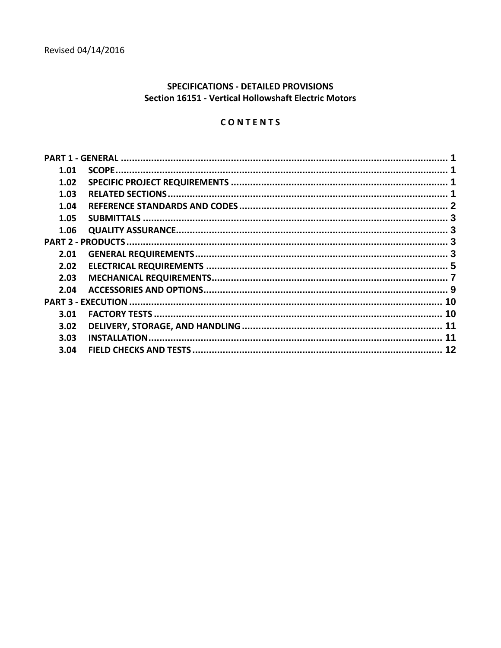# **SPECIFICATIONS - DETAILED PROVISIONS Section 16151 - Vertical Hollowshaft Electric Motors**

# CONTENTS

| 1.01 |  |  |
|------|--|--|
| 1.02 |  |  |
| 1.03 |  |  |
| 1.04 |  |  |
| 1.05 |  |  |
| 1.06 |  |  |
|      |  |  |
| 2.01 |  |  |
| 2.02 |  |  |
| 2.03 |  |  |
| 2.04 |  |  |
|      |  |  |
| 3.01 |  |  |
| 3.02 |  |  |
| 3.03 |  |  |
| 3.04 |  |  |
|      |  |  |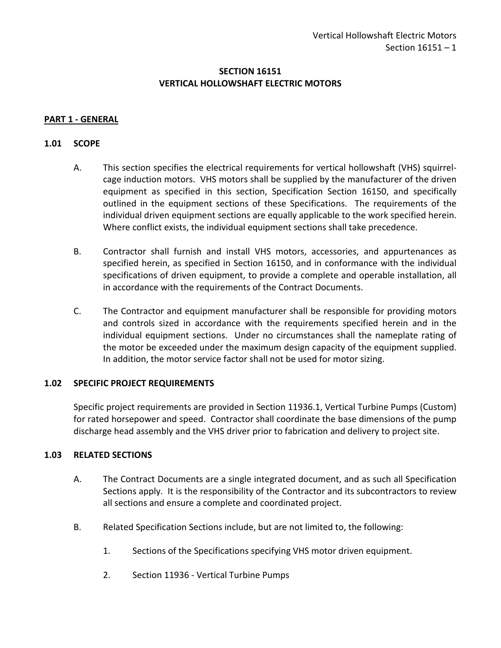# **SECTION 16151 VERTICAL HOLLOWSHAFT ELECTRIC MOTORS**

## <span id="page-2-0"></span>**PART 1 - GENERAL**

#### <span id="page-2-1"></span>**1.01 SCOPE**

- A. This section specifies the electrical requirements for vertical hollowshaft (VHS) squirrelcage induction motors. VHS motors shall be supplied by the manufacturer of the driven equipment as specified in this section, Specification Section 16150, and specifically outlined in the equipment sections of these Specifications. The requirements of the individual driven equipment sections are equally applicable to the work specified herein. Where conflict exists, the individual equipment sections shall take precedence.
- B. Contractor shall furnish and install VHS motors, accessories, and appurtenances as specified herein, as specified in Section 16150, and in conformance with the individual specifications of driven equipment, to provide a complete and operable installation, all in accordance with the requirements of the Contract Documents.
- C. The Contractor and equipment manufacturer shall be responsible for providing motors and controls sized in accordance with the requirements specified herein and in the individual equipment sections. Under no circumstances shall the nameplate rating of the motor be exceeded under the maximum design capacity of the equipment supplied. In addition, the motor service factor shall not be used for motor sizing.

#### <span id="page-2-2"></span>**1.02 SPECIFIC PROJECT REQUIREMENTS**

Specific project requirements are provided in Section 11936.1, Vertical Turbine Pumps (Custom) for rated horsepower and speed. Contractor shall coordinate the base dimensions of the pump discharge head assembly and the VHS driver prior to fabrication and delivery to project site.

#### <span id="page-2-3"></span>**1.03 RELATED SECTIONS**

- A. The Contract Documents are a single integrated document, and as such all Specification Sections apply. It is the responsibility of the Contractor and its subcontractors to review all sections and ensure a complete and coordinated project.
- B. Related Specification Sections include, but are not limited to, the following:
	- 1. Sections of the Specifications specifying VHS motor driven equipment.
	- 2. Section 11936 Vertical Turbine Pumps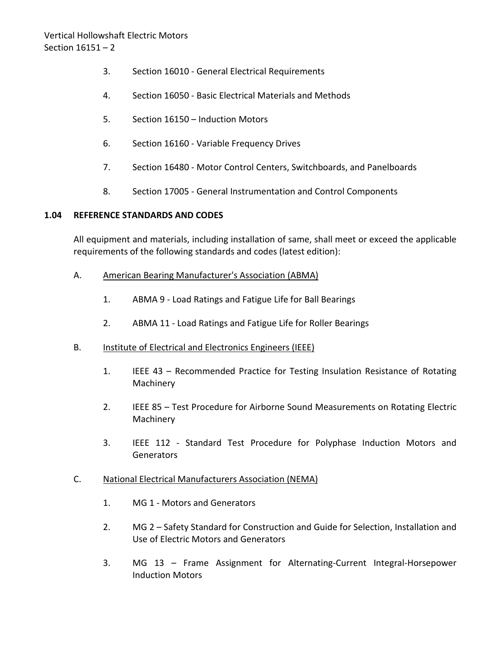- 3. Section 16010 General Electrical Requirements
- 4. Section 16050 Basic Electrical Materials and Methods
- 5. Section 16150 Induction Motors
- 6. Section 16160 Variable Frequency Drives
- 7. Section 16480 Motor Control Centers, Switchboards, and Panelboards
- 8. Section 17005 General Instrumentation and Control Components

## <span id="page-3-0"></span>**1.04 REFERENCE STANDARDS AND CODES**

All equipment and materials, including installation of same, shall meet or exceed the applicable requirements of the following standards and codes (latest edition):

#### A. American Bearing Manufacturer's Association (ABMA)

- 1. ABMA 9 Load Ratings and Fatigue Life for Ball Bearings
- 2. ABMA 11 Load Ratings and Fatigue Life for Roller Bearings
- B. Institute of Electrical and Electronics Engineers (IEEE)
	- 1. IEEE 43 Recommended Practice for Testing Insulation Resistance of Rotating Machinery
	- 2. IEEE 85 Test Procedure for Airborne Sound Measurements on Rotating Electric Machinery
	- 3. IEEE 112 Standard Test Procedure for Polyphase Induction Motors and **Generators**

# C. National Electrical Manufacturers Association (NEMA)

- 1. MG 1 Motors and Generators
- 2. MG 2 Safety Standard for Construction and Guide for Selection, Installation and Use of Electric Motors and Generators
- 3. MG 13 Frame Assignment for Alternating-Current Integral-Horsepower Induction Motors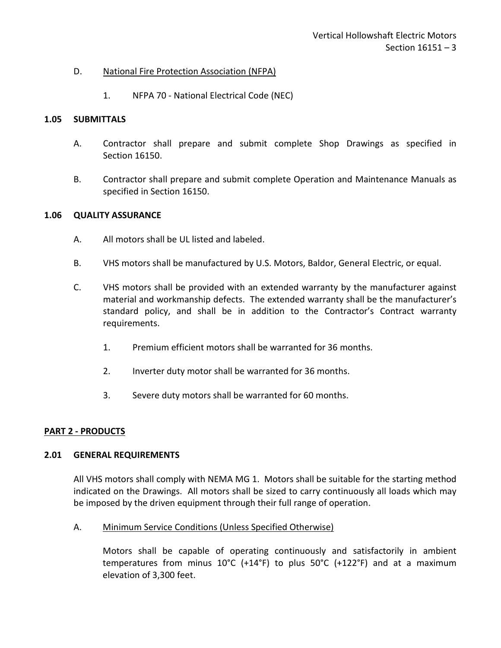#### D. National Fire Protection Association (NFPA)

1. NFPA 70 - National Electrical Code (NEC)

#### <span id="page-4-0"></span>**1.05 SUBMITTALS**

- A. Contractor shall prepare and submit complete Shop Drawings as specified in Section 16150.
- B. Contractor shall prepare and submit complete Operation and Maintenance Manuals as specified in Section 16150.

#### <span id="page-4-1"></span>**1.06 QUALITY ASSURANCE**

- A. All motors shall be UL listed and labeled.
- B. VHS motors shall be manufactured by U.S. Motors, Baldor, General Electric, or equal.
- C. VHS motors shall be provided with an extended warranty by the manufacturer against material and workmanship defects. The extended warranty shall be the manufacturer's standard policy, and shall be in addition to the Contractor's Contract warranty requirements.
	- 1. Premium efficient motors shall be warranted for 36 months.
	- 2. Inverter duty motor shall be warranted for 36 months.
	- 3. Severe duty motors shall be warranted for 60 months.

## <span id="page-4-2"></span>**PART 2 - PRODUCTS**

#### <span id="page-4-3"></span>**2.01 GENERAL REQUIREMENTS**

All VHS motors shall comply with NEMA MG 1. Motors shall be suitable for the starting method indicated on the Drawings. All motors shall be sized to carry continuously all loads which may be imposed by the driven equipment through their full range of operation.

A. Minimum Service Conditions (Unless Specified Otherwise)

Motors shall be capable of operating continuously and satisfactorily in ambient temperatures from minus 10°C (+14°F) to plus 50°C (+122°F) and at a maximum elevation of 3,300 feet.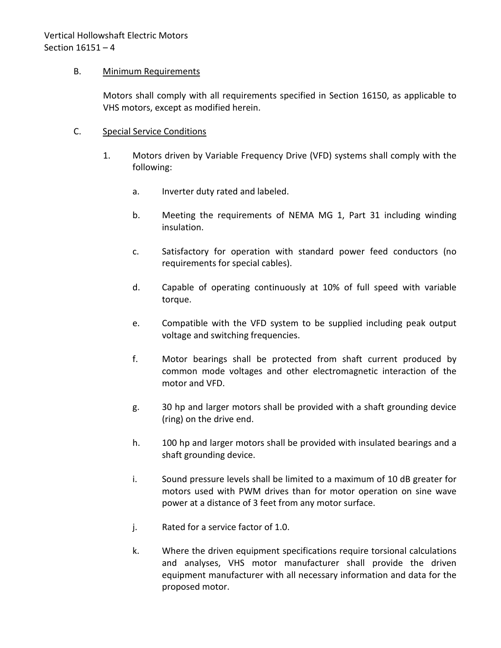# Vertical Hollowshaft Electric Motors Section 16151 – 4

## B. Minimum Requirements

Motors shall comply with all requirements specified in Section 16150, as applicable to VHS motors, except as modified herein.

# C. Special Service Conditions

- 1. Motors driven by Variable Frequency Drive (VFD) systems shall comply with the following:
	- a. Inverter duty rated and labeled.
	- b. Meeting the requirements of NEMA MG 1, Part 31 including winding insulation.
	- c. Satisfactory for operation with standard power feed conductors (no requirements for special cables).
	- d. Capable of operating continuously at 10% of full speed with variable torque.
	- e. Compatible with the VFD system to be supplied including peak output voltage and switching frequencies.
	- f. Motor bearings shall be protected from shaft current produced by common mode voltages and other electromagnetic interaction of the motor and VFD.
	- g. 30 hp and larger motors shall be provided with a shaft grounding device (ring) on the drive end.
	- h. 100 hp and larger motors shall be provided with insulated bearings and a shaft grounding device.
	- i. Sound pressure levels shall be limited to a maximum of 10 dB greater for motors used with PWM drives than for motor operation on sine wave power at a distance of 3 feet from any motor surface.
	- j. Rated for a service factor of 1.0.
	- k. Where the driven equipment specifications require torsional calculations and analyses, VHS motor manufacturer shall provide the driven equipment manufacturer with all necessary information and data for the proposed motor.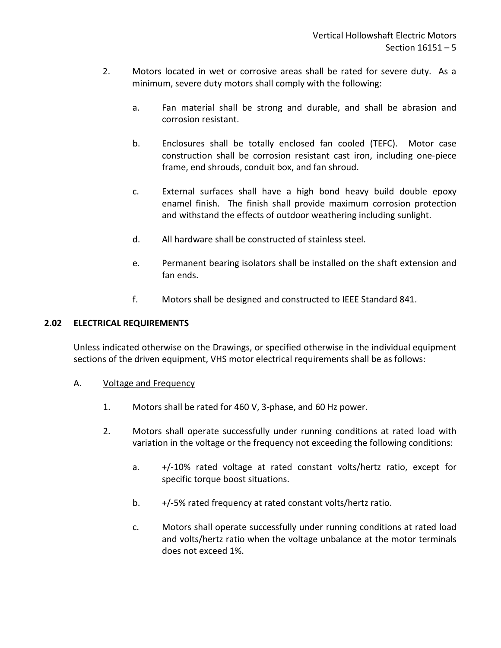- 2. Motors located in wet or corrosive areas shall be rated for severe duty. As a minimum, severe duty motors shall comply with the following:
	- a. Fan material shall be strong and durable, and shall be abrasion and corrosion resistant.
	- b. Enclosures shall be totally enclosed fan cooled (TEFC). Motor case construction shall be corrosion resistant cast iron, including one-piece frame, end shrouds, conduit box, and fan shroud.
	- c. External surfaces shall have a high bond heavy build double epoxy enamel finish. The finish shall provide maximum corrosion protection and withstand the effects of outdoor weathering including sunlight.
	- d. All hardware shall be constructed of stainless steel.
	- e. Permanent bearing isolators shall be installed on the shaft extension and fan ends.
	- f. Motors shall be designed and constructed to IEEE Standard 841.

## <span id="page-6-0"></span>**2.02 ELECTRICAL REQUIREMENTS**

Unless indicated otherwise on the Drawings, or specified otherwise in the individual equipment sections of the driven equipment, VHS motor electrical requirements shall be as follows:

## A. Voltage and Frequency

- 1. Motors shall be rated for 460 V, 3-phase, and 60 Hz power.
- 2. Motors shall operate successfully under running conditions at rated load with variation in the voltage or the frequency not exceeding the following conditions:
	- a.  $+/-10\%$  rated voltage at rated constant volts/hertz ratio, except for specific torque boost situations.
	- b. +/-5% rated frequency at rated constant volts/hertz ratio.
	- c. Motors shall operate successfully under running conditions at rated load and volts/hertz ratio when the voltage unbalance at the motor terminals does not exceed 1%.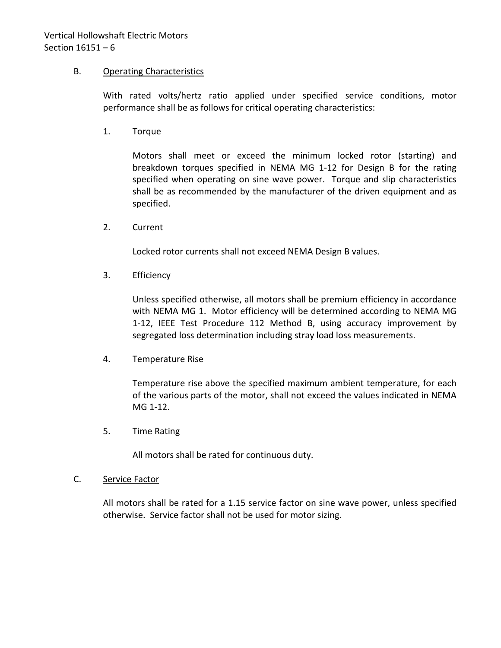## B. Operating Characteristics

With rated volts/hertz ratio applied under specified service conditions, motor performance shall be as follows for critical operating characteristics:

1. Torque

Motors shall meet or exceed the minimum locked rotor (starting) and breakdown torques specified in NEMA MG 1-12 for Design B for the rating specified when operating on sine wave power. Torque and slip characteristics shall be as recommended by the manufacturer of the driven equipment and as specified.

2. Current

Locked rotor currents shall not exceed NEMA Design B values.

3. Efficiency

Unless specified otherwise, all motors shall be premium efficiency in accordance with NEMA MG 1. Motor efficiency will be determined according to NEMA MG 1-12, IEEE Test Procedure 112 Method B, using accuracy improvement by segregated loss determination including stray load loss measurements.

4. Temperature Rise

Temperature rise above the specified maximum ambient temperature, for each of the various parts of the motor, shall not exceed the values indicated in NEMA MG 1-12.

5. Time Rating

All motors shall be rated for continuous duty.

C. Service Factor

All motors shall be rated for a 1.15 service factor on sine wave power, unless specified otherwise. Service factor shall not be used for motor sizing.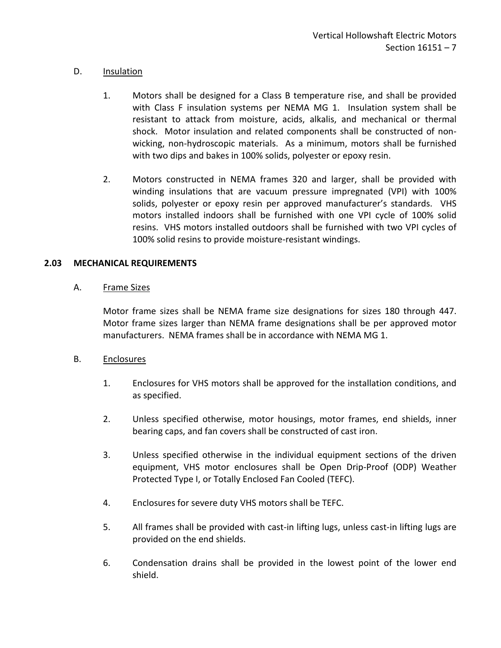# D. **Insulation**

- 1. Motors shall be designed for a Class B temperature rise, and shall be provided with Class F insulation systems per NEMA MG 1. Insulation system shall be resistant to attack from moisture, acids, alkalis, and mechanical or thermal shock. Motor insulation and related components shall be constructed of nonwicking, non-hydroscopic materials. As a minimum, motors shall be furnished with two dips and bakes in 100% solids, polyester or epoxy resin.
- 2. Motors constructed in NEMA frames 320 and larger, shall be provided with winding insulations that are vacuum pressure impregnated (VPI) with 100% solids, polyester or epoxy resin per approved manufacturer's standards. VHS motors installed indoors shall be furnished with one VPI cycle of 100% solid resins. VHS motors installed outdoors shall be furnished with two VPI cycles of 100% solid resins to provide moisture-resistant windings.

## <span id="page-8-0"></span>**2.03 MECHANICAL REQUIREMENTS**

# A. Frame Sizes

Motor frame sizes shall be NEMA frame size designations for sizes 180 through 447. Motor frame sizes larger than NEMA frame designations shall be per approved motor manufacturers. NEMA frames shall be in accordance with NEMA MG 1.

## B. Enclosures

- 1. Enclosures for VHS motors shall be approved for the installation conditions, and as specified.
- 2. Unless specified otherwise, motor housings, motor frames, end shields, inner bearing caps, and fan covers shall be constructed of cast iron.
- 3. Unless specified otherwise in the individual equipment sections of the driven equipment, VHS motor enclosures shall be Open Drip-Proof (ODP) Weather Protected Type I, or Totally Enclosed Fan Cooled (TEFC).
- 4. Enclosures for severe duty VHS motors shall be TEFC.
- 5. All frames shall be provided with cast-in lifting lugs, unless cast-in lifting lugs are provided on the end shields.
- 6. Condensation drains shall be provided in the lowest point of the lower end shield.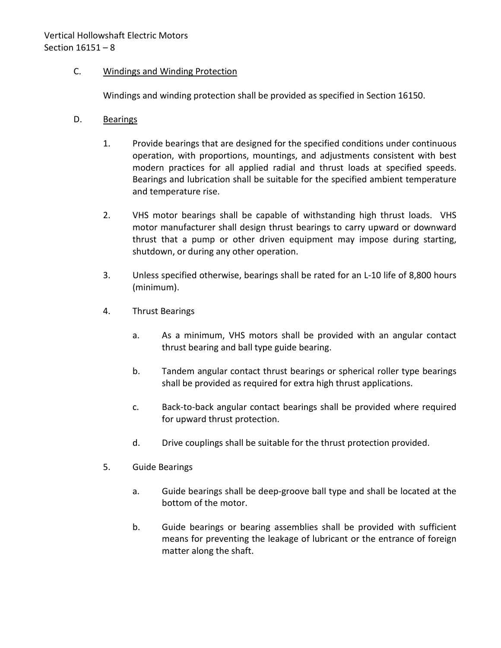# Vertical Hollowshaft Electric Motors Section 16151 – 8

# C. Windings and Winding Protection

Windings and winding protection shall be provided as specified in Section 16150.

- D. Bearings
	- 1. Provide bearings that are designed for the specified conditions under continuous operation, with proportions, mountings, and adjustments consistent with best modern practices for all applied radial and thrust loads at specified speeds. Bearings and lubrication shall be suitable for the specified ambient temperature and temperature rise.
	- 2. VHS motor bearings shall be capable of withstanding high thrust loads. VHS motor manufacturer shall design thrust bearings to carry upward or downward thrust that a pump or other driven equipment may impose during starting, shutdown, or during any other operation.
	- 3. Unless specified otherwise, bearings shall be rated for an L-10 life of 8,800 hours (minimum).
	- 4. Thrust Bearings
		- a. As a minimum, VHS motors shall be provided with an angular contact thrust bearing and ball type guide bearing.
		- b. Tandem angular contact thrust bearings or spherical roller type bearings shall be provided as required for extra high thrust applications.
		- c. Back-to-back angular contact bearings shall be provided where required for upward thrust protection.
		- d. Drive couplings shall be suitable for the thrust protection provided.
	- 5. Guide Bearings
		- a. Guide bearings shall be deep-groove ball type and shall be located at the bottom of the motor.
		- b. Guide bearings or bearing assemblies shall be provided with sufficient means for preventing the leakage of lubricant or the entrance of foreign matter along the shaft.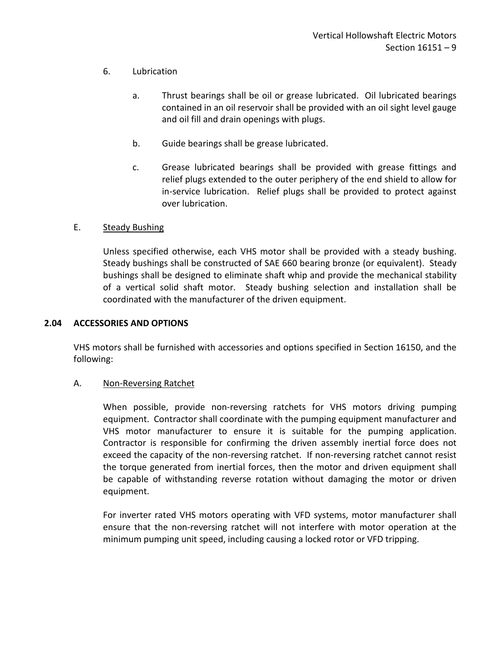# 6. Lubrication

- a. Thrust bearings shall be oil or grease lubricated. Oil lubricated bearings contained in an oil reservoir shall be provided with an oil sight level gauge and oil fill and drain openings with plugs.
- b. Guide bearings shall be grease lubricated.
- c. Grease lubricated bearings shall be provided with grease fittings and relief plugs extended to the outer periphery of the end shield to allow for in-service lubrication. Relief plugs shall be provided to protect against over lubrication.

# E. Steady Bushing

Unless specified otherwise, each VHS motor shall be provided with a steady bushing. Steady bushings shall be constructed of SAE 660 bearing bronze (or equivalent). Steady bushings shall be designed to eliminate shaft whip and provide the mechanical stability of a vertical solid shaft motor. Steady bushing selection and installation shall be coordinated with the manufacturer of the driven equipment.

## <span id="page-10-0"></span>**2.04 ACCESSORIES AND OPTIONS**

VHS motors shall be furnished with accessories and options specified in Section 16150, and the following:

## A. Non-Reversing Ratchet

When possible, provide non-reversing ratchets for VHS motors driving pumping equipment. Contractor shall coordinate with the pumping equipment manufacturer and VHS motor manufacturer to ensure it is suitable for the pumping application. Contractor is responsible for confirming the driven assembly inertial force does not exceed the capacity of the non-reversing ratchet. If non-reversing ratchet cannot resist the torque generated from inertial forces, then the motor and driven equipment shall be capable of withstanding reverse rotation without damaging the motor or driven equipment.

For inverter rated VHS motors operating with VFD systems, motor manufacturer shall ensure that the non-reversing ratchet will not interfere with motor operation at the minimum pumping unit speed, including causing a locked rotor or VFD tripping.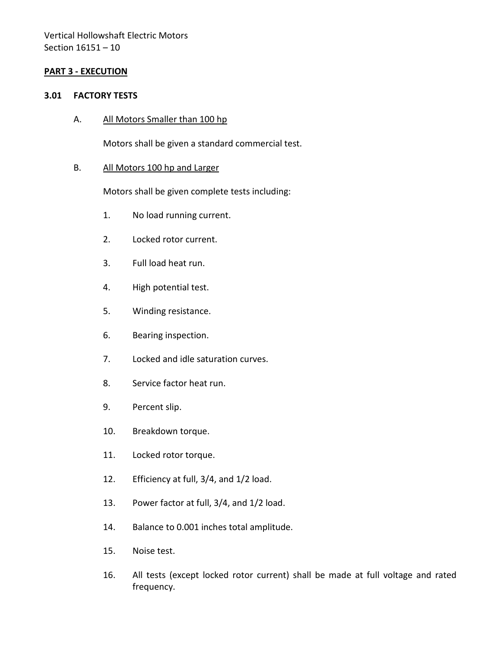# <span id="page-11-0"></span>**PART 3 - EXECUTION**

#### <span id="page-11-1"></span>**3.01 FACTORY TESTS**

A. All Motors Smaller than 100 hp

Motors shall be given a standard commercial test.

#### B. All Motors 100 hp and Larger

Motors shall be given complete tests including:

- 1. No load running current.
- 2. Locked rotor current.
- 3. Full load heat run.
- 4. High potential test.
- 5. Winding resistance.
- 6. Bearing inspection.
- 7. Locked and idle saturation curves.
- 8. Service factor heat run.
- 9. Percent slip.
- 10. Breakdown torque.
- 11. Locked rotor torque.
- 12. Efficiency at full, 3/4, and 1/2 load.
- 13. Power factor at full, 3/4, and 1/2 load.
- 14. Balance to 0.001 inches total amplitude.
- 15. Noise test.
- 16. All tests (except locked rotor current) shall be made at full voltage and rated frequency.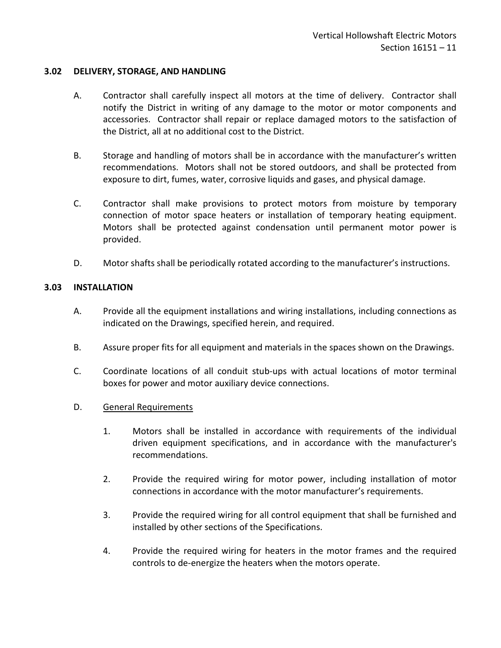#### <span id="page-12-0"></span>**3.02 DELIVERY, STORAGE, AND HANDLING**

- A. Contractor shall carefully inspect all motors at the time of delivery. Contractor shall notify the District in writing of any damage to the motor or motor components and accessories. Contractor shall repair or replace damaged motors to the satisfaction of the District, all at no additional cost to the District.
- B. Storage and handling of motors shall be in accordance with the manufacturer's written recommendations. Motors shall not be stored outdoors, and shall be protected from exposure to dirt, fumes, water, corrosive liquids and gases, and physical damage.
- C. Contractor shall make provisions to protect motors from moisture by temporary connection of motor space heaters or installation of temporary heating equipment. Motors shall be protected against condensation until permanent motor power is provided.
- D. Motor shafts shall be periodically rotated according to the manufacturer's instructions.

## <span id="page-12-1"></span>**3.03 INSTALLATION**

- A. Provide all the equipment installations and wiring installations, including connections as indicated on the Drawings, specified herein, and required.
- B. Assure proper fits for all equipment and materials in the spaces shown on the Drawings.
- C. Coordinate locations of all conduit stub-ups with actual locations of motor terminal boxes for power and motor auxiliary device connections.
- D. General Requirements
	- 1. Motors shall be installed in accordance with requirements of the individual driven equipment specifications, and in accordance with the manufacturer's recommendations.
	- 2. Provide the required wiring for motor power, including installation of motor connections in accordance with the motor manufacturer's requirements.
	- 3. Provide the required wiring for all control equipment that shall be furnished and installed by other sections of the Specifications.
	- 4. Provide the required wiring for heaters in the motor frames and the required controls to de-energize the heaters when the motors operate.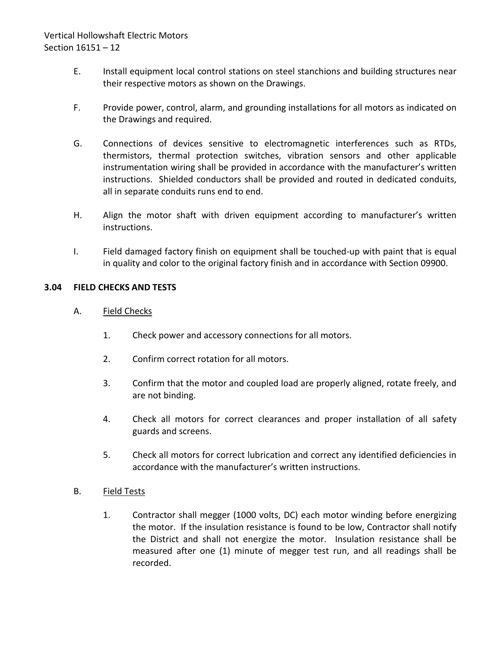- E. Install equipment local control stations on steel stanchions and building structures near their respective motors as shown on the Drawings.
- F. Provide power, control, alarm, and grounding installations for all motors as indicated on the Drawings and required.
- G. Connections of devices sensitive to electromagnetic interferences such as RTDs, thermistors, thermal protection switches, vibration sensors and other applicable instrumentation wiring shall be provided in accordance with the manufacturer's written instructions. Shielded conductors shall be provided and routed in dedicated conduits, all in separate conduits runs end to end.
- H. Align the motor shaft with driven equipment according to manufacturer's written instructions.
- I. Field damaged factory finish on equipment shall be touched-up with paint that is equal in quality and color to the original factory finish and in accordance with Section 09900.

## <span id="page-13-0"></span>**3.04 FIELD CHECKS AND TESTS**

- A. Field Checks
	- 1. Check power and accessory connections for all motors.
	- 2. Confirm correct rotation for all motors.
	- 3. Confirm that the motor and coupled load are properly aligned, rotate freely, and are not binding.
	- 4. Check all motors for correct clearances and proper installation of all safety guards and screens.
	- 5. Check all motors for correct lubrication and correct any identified deficiencies in accordance with the manufacturer's written instructions.
- B. Field Tests
	- 1. Contractor shall megger (1000 volts, DC) each motor winding before energizing the motor. If the insulation resistance is found to be low, Contractor shall notify the District and shall not energize the motor. Insulation resistance shall be measured after one (1) minute of megger test run, and all readings shall be recorded.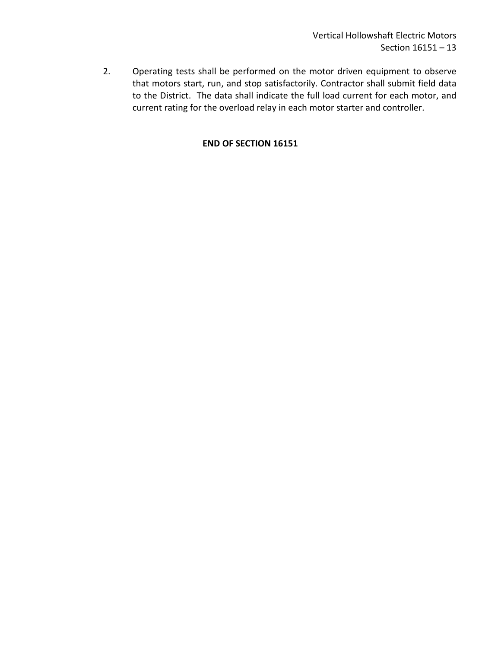2. Operating tests shall be performed on the motor driven equipment to observe that motors start, run, and stop satisfactorily. Contractor shall submit field data to the District. The data shall indicate the full load current for each motor, and current rating for the overload relay in each motor starter and controller.

# **END OF SECTION 16151**